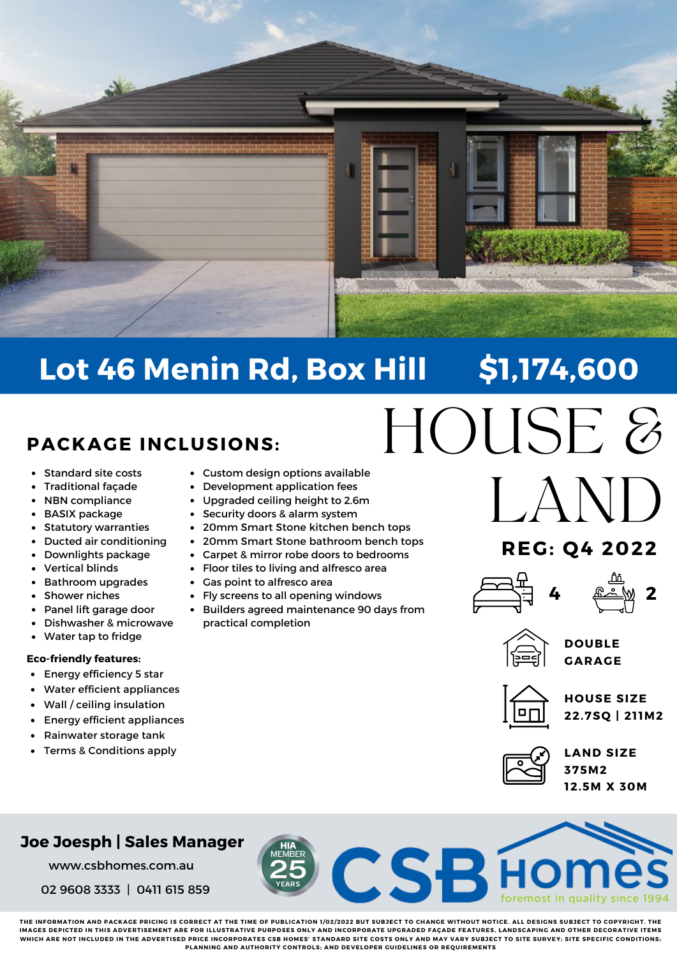

# **Lot 46 Menin Rd, Box Hill \$1,174,600**

## **PACKAGE INCLUSIONS:**

- Standard site costs  $\bullet$
- Traditional façade
- NBN compliance  $\bullet$
- BASIX package
- Statutory warranties  $\bullet$
- Ducted air conditioning
- Downlights package
- Vertical blinds
- Bathroom upgrades
- Shower niches
- Panel lift garage door
- Dishwasher & microwave
- Water tap to fridge $\bullet$

#### **Eco-friendly features:**

- $\bullet$ Energy efficiency 5 star
- Water efficient appliances
- $\bullet$ Wall / ceiling insulation
- Energy efficient appliances  $\bullet$
- Rainwater storage tank
- Terms & Conditions apply
- Custom design options available
- Development application fees
- Upgraded ceiling height to 2.6m
- Security doors & alarm system
- 20mm Smart Stone kitchen bench tops
- 20mm Smart Stone bathroom bench tops
- Carpet & mirror robe doors to bedrooms
- Floor tiles to living and alfresco area
- Gas point to alfresco area
- Fly screens to all opening windows
- Builders agreed maintenance 90 days from practical completion
- HOUSE & LAND

## **REG: Q4 2022**







**DOUBLE GARAGE**



**HOUSE SIZE 22.7SQ | 21 1M2**



**LAND SIZE 375M2 12.5M X 30M**

### **Joe Joesph | Sales Manager**

www.csbhomes.com.au

02 9608 3333 | 0411 615 859

THE INFORMATION AND PACKAGE PRICING IS CORRECT AT THE TIME OF PUBLICATION 1/02/2022 BUT SUBJECT TO CHANGE WITHOUT NOTICE. ALL DESIGNS SUBJECT TO COPYRIGHT. THE IMACES DEDICTED IN THIS ADVEDTISEMENT ADE EOD ILLUSTDATIVE DIIDDOSES ONLY AND INCODDODATE UDCDADED EACADE EEATUDES LANDSCADING AND OTHED DECODATIVE ITEMS WHICH ARE NOT INCLUDED IN THE ADVERTISED PRICE INCORPORATES CSB HOMES' STANDARD SITE COSTS ONLY AND MAY VARY SUBJECT TO SITE SURVEY; SITE SPECIFIC CONDITIONS; **PLANNING AND AUTHORITY CONTROLS; AND DEVELOPER GUIDELINES OR REQUIREMENTS**

**CSBH**